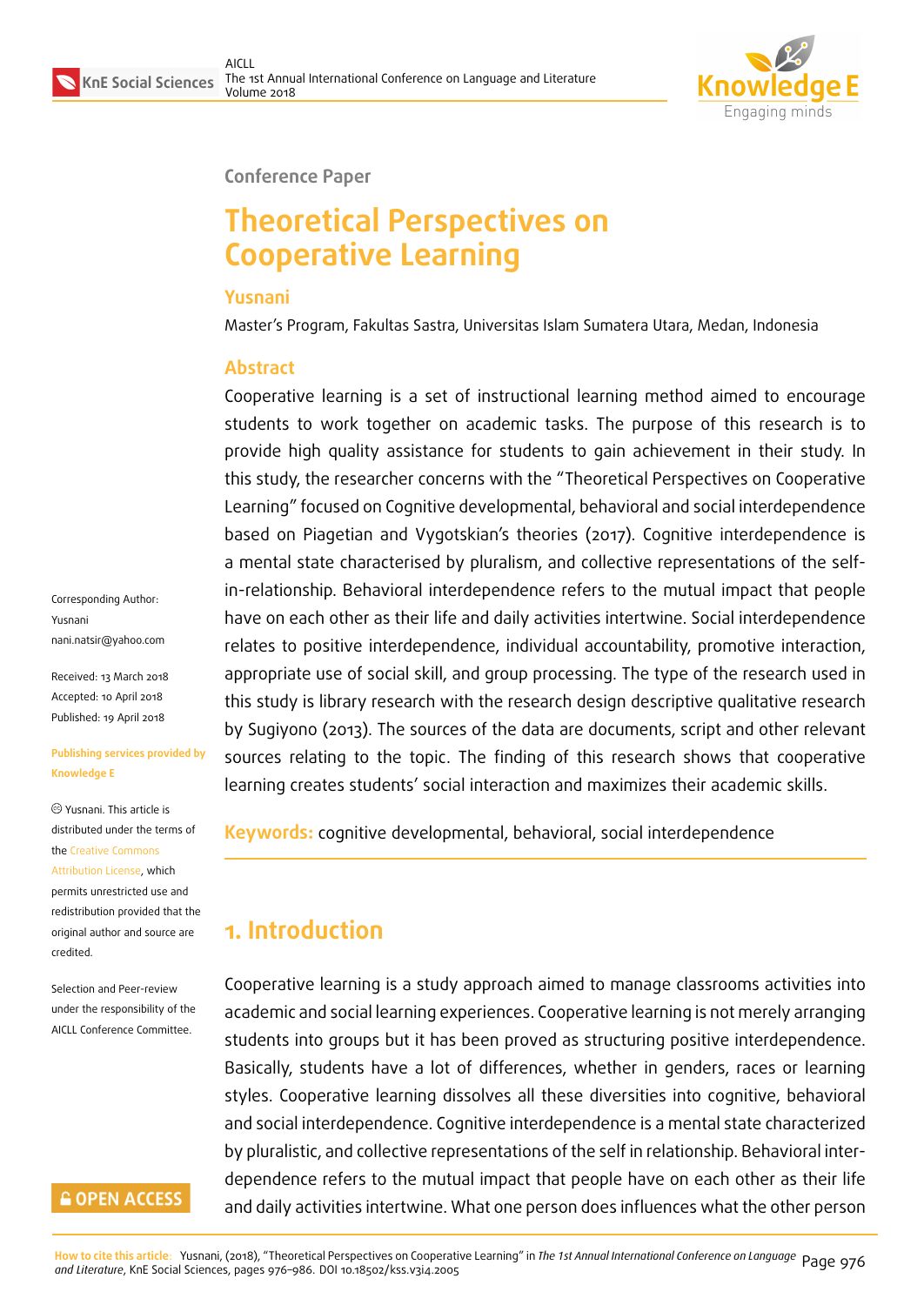

#### **Conference Paper**

# **Theoretical Perspectives on Cooperative Learning**

#### **Yusnani**

Master's Program, Fakultas Sastra, Universitas Islam Sumatera Utara, Medan, Indonesia

### **Abstract**

Cooperative learning is a set of instructional learning method aimed to encourage students to work together on academic tasks. The purpose of this research is to provide high quality assistance for students to gain achievement in their study. In this study, the researcher concerns with the "Theoretical Perspectives on Cooperative Learning" focused on Cognitive developmental, behavioral and social interdependence based on Piagetian and Vygotskian's theories (2017). Cognitive interdependence is a mental state characterised by pluralism, and collective representations of the selfin-relationship. Behavioral interdependence refers to the mutual impact that people have on each other as their life and daily activities intertwine. Social interdependence relates to positive interdependence, individual accountability, promotive interaction, appropriate use of social skill, and group processing. The type of the research used in this study is library research with the research design descriptive qualitative research by Sugiyono (2013). The sources of the data are documents, script and other relevant sources relating to the topic. The finding of this research shows that cooperative learning creates students' social interaction and maximizes their academic skills.

**Keywords:** cognitive developmental, behavioral, social interdependence

## **1. Introduction**

Cooperative learning is a study approach aimed to manage classrooms activities into academic and social learning experiences. Cooperative learning is not merely arranging students into groups but it has been proved as structuring positive interdependence. Basically, students have a lot of differences, whether in genders, races or learning styles. Cooperative learning dissolves all these diversities into cognitive, behavioral and social interdependence. Cognitive interdependence is a mental state characterized by pluralistic, and collective representations of the self in relationship. Behavioral interdependence refers to the mutual impact that people have on each other as their life and daily activities intertwine. What one person does influences what the other person

Corresponding Author: Yusnani nani.natsir@yahoo.com

Received: 13 March 2018 Accepted: 10 April 2018 [Published: 19 April 2018](mailto:nani.natsir@yahoo.com)

#### **Publishing services provided by Knowledge E**

Yusnani. This article is distributed under the terms of the Creative Commons Attribution License, which permits unrestricted use and redistribution provided that the ori[ginal author and sou](https://creativecommons.org/licenses/by/4.0/)rce are [credited.](https://creativecommons.org/licenses/by/4.0/)

Selection and Peer-review under the responsibility of the AICLL Conference Committee.

#### **GOPEN ACCESS**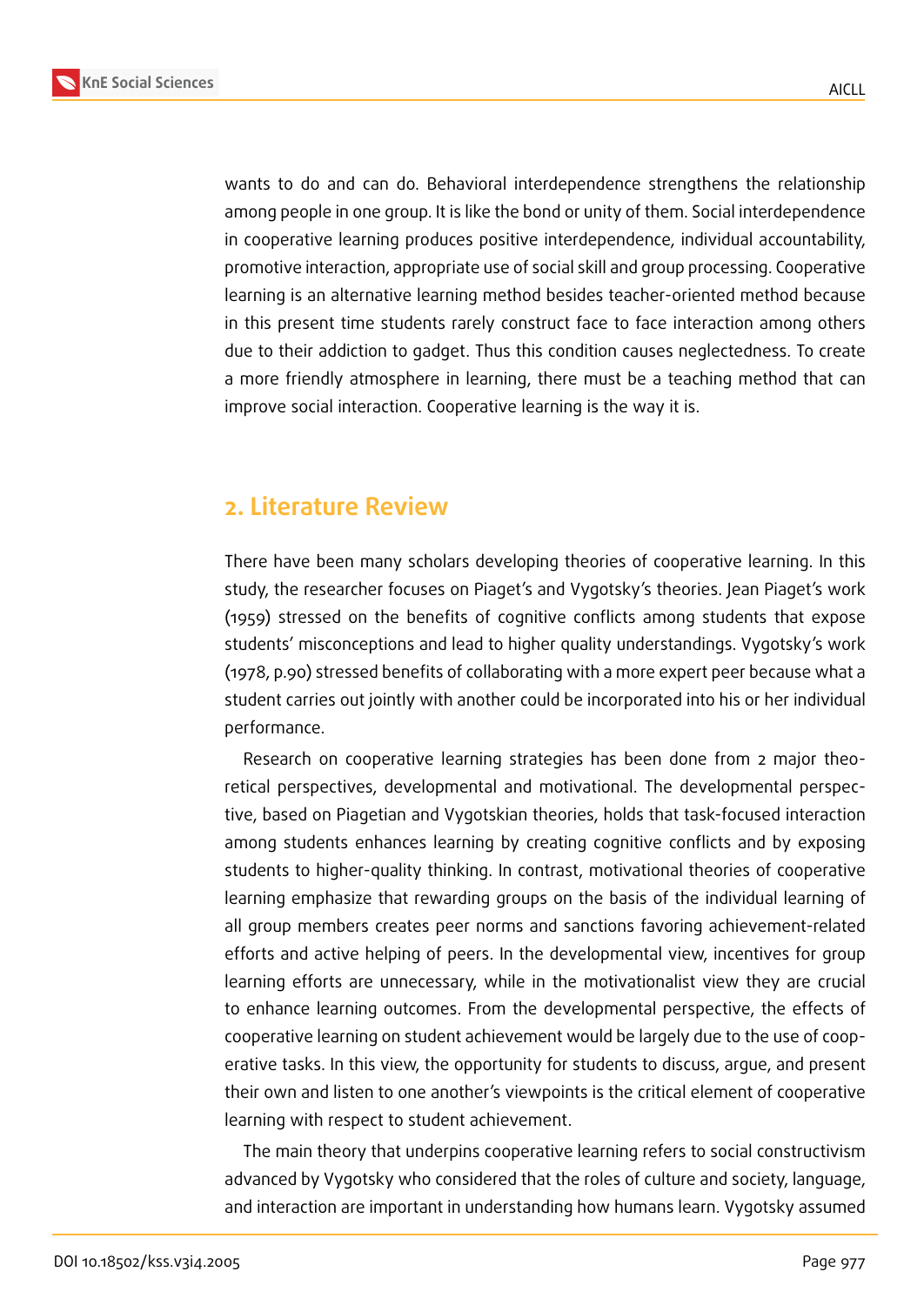



wants to do and can do. Behavioral interdependence strengthens the relationship among people in one group. It is like the bond or unity of them. Social interdependence in cooperative learning produces positive interdependence, individual accountability, promotive interaction, appropriate use of social skill and group processing. Cooperative learning is an alternative learning method besides teacher-oriented method because in this present time students rarely construct face to face interaction among others due to their addiction to gadget. Thus this condition causes neglectedness. To create a more friendly atmosphere in learning, there must be a teaching method that can improve social interaction. Cooperative learning is the way it is.

### **2. Literature Review**

There have been many scholars developing theories of cooperative learning. In this study, the researcher focuses on Piaget's and Vygotsky's theories. Jean Piaget's work (1959) stressed on the benefits of cognitive conflicts among students that expose students' misconceptions and lead to higher quality understandings. Vygotsky's work (1978, p.90) stressed benefits of collaborating with a more expert peer because what a student carries out jointly with another could be incorporated into his or her individual performance.

Research on cooperative learning strategies has been done from 2 major theoretical perspectives, developmental and motivational. The developmental perspective, based on Piagetian and Vygotskian theories, holds that task-focused interaction among students enhances learning by creating cognitive conflicts and by exposing students to higher-quality thinking. In contrast, motivational theories of cooperative learning emphasize that rewarding groups on the basis of the individual learning of all group members creates peer norms and sanctions favoring achievement-related efforts and active helping of peers. In the developmental view, incentives for group learning efforts are unnecessary, while in the motivationalist view they are crucial to enhance learning outcomes. From the developmental perspective, the effects of cooperative learning on student achievement would be largely due to the use of cooperative tasks. In this view, the opportunity for students to discuss, argue, and present their own and listen to one another's viewpoints is the critical element of cooperative learning with respect to student achievement.

The main theory that underpins cooperative learning refers to social constructivism advanced by Vygotsky who considered that the roles of culture and society, language, and interaction are important in understanding how humans learn. Vygotsky assumed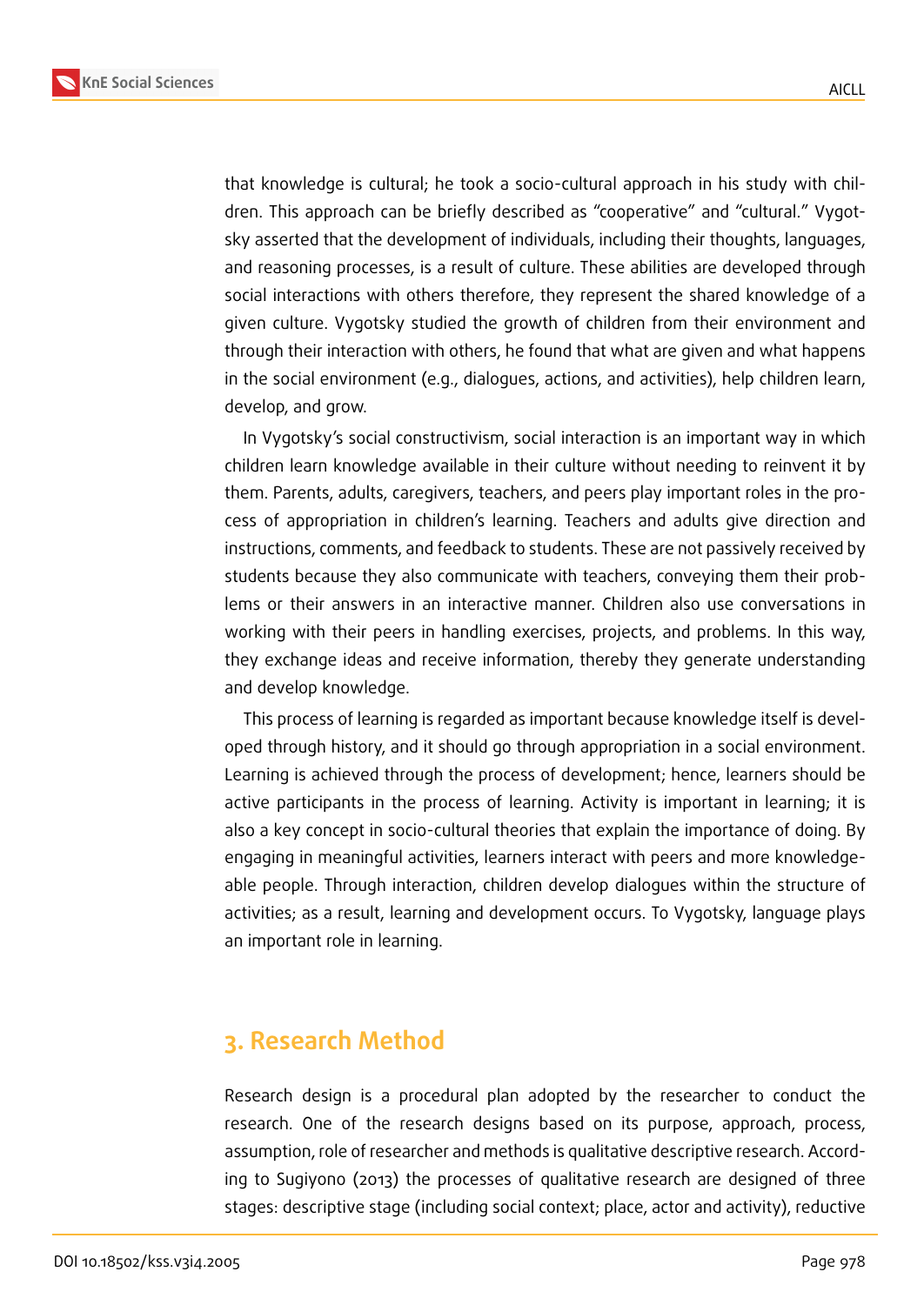**KnE Social Sciences**



that knowledge is cultural; he took a socio-cultural approach in his study with children. This approach can be briefly described as "cooperative" and "cultural." Vygotsky asserted that the development of individuals, including their thoughts, languages, and reasoning processes, is a result of culture. These abilities are developed through social interactions with others therefore, they represent the shared knowledge of a given culture. Vygotsky studied the growth of children from their environment and through their interaction with others, he found that what are given and what happens in the social environment (e.g., dialogues, actions, and activities), help children learn, develop, and grow.

In Vygotsky's social constructivism, social interaction is an important way in which children learn knowledge available in their culture without needing to reinvent it by them. Parents, adults, caregivers, teachers, and peers play important roles in the process of appropriation in children's learning. Teachers and adults give direction and instructions, comments, and feedback to students. These are not passively received by students because they also communicate with teachers, conveying them their problems or their answers in an interactive manner. Children also use conversations in working with their peers in handling exercises, projects, and problems. In this way, they exchange ideas and receive information, thereby they generate understanding and develop knowledge.

This process of learning is regarded as important because knowledge itself is developed through history, and it should go through appropriation in a social environment. Learning is achieved through the process of development; hence, learners should be active participants in the process of learning. Activity is important in learning; it is also a key concept in socio-cultural theories that explain the importance of doing. By engaging in meaningful activities, learners interact with peers and more knowledgeable people. Through interaction, children develop dialogues within the structure of activities; as a result, learning and development occurs. To Vygotsky, language plays an important role in learning.

### **3. Research Method**

Research design is a procedural plan adopted by the researcher to conduct the research. One of the research designs based on its purpose, approach, process, assumption, role of researcher and methods is qualitative descriptive research. According to Sugiyono (2013) the processes of qualitative research are designed of three stages: descriptive stage (including social context; place, actor and activity), reductive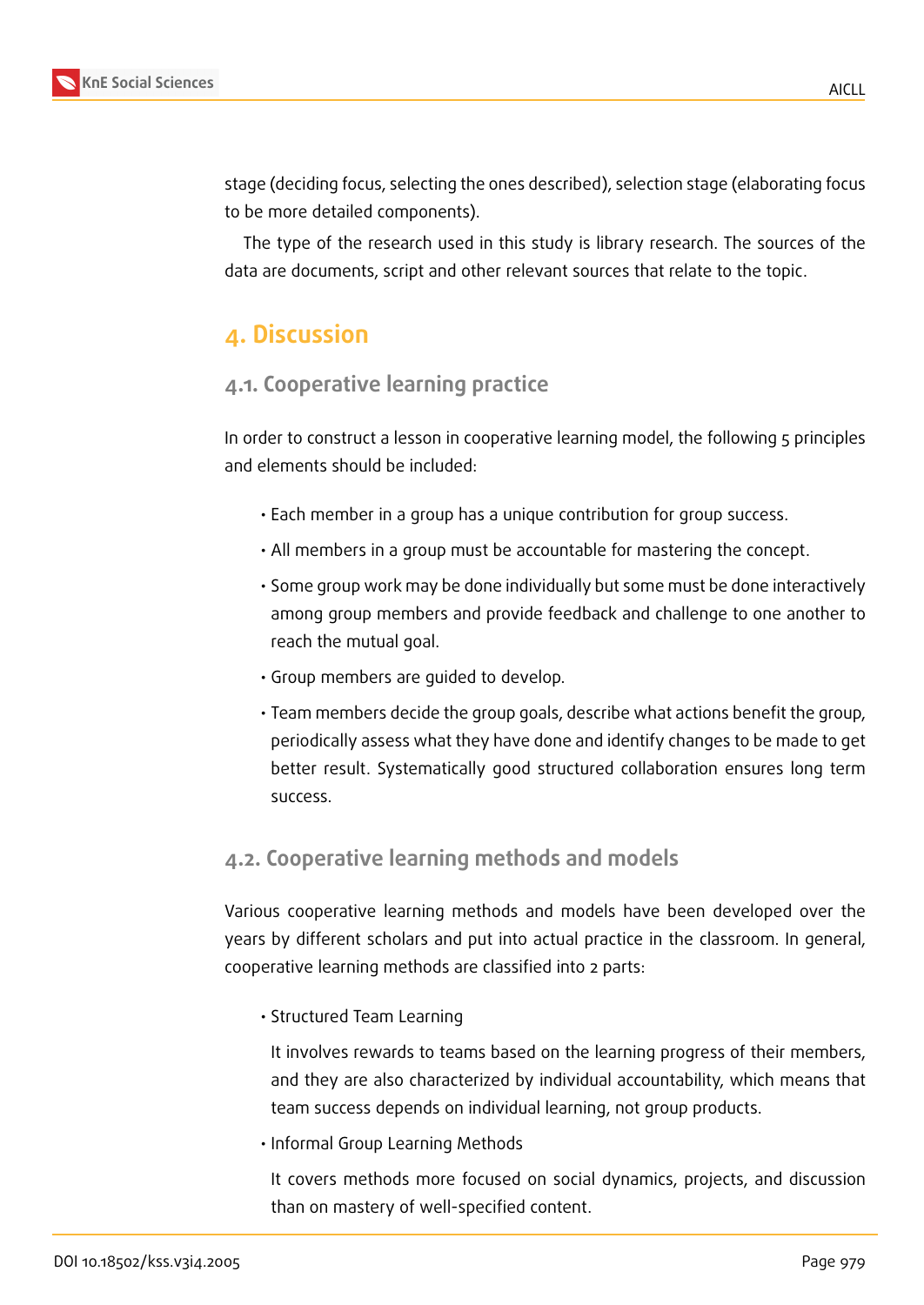

stage (deciding focus, selecting the ones described), selection stage (elaborating focus to be more detailed components).

The type of the research used in this study is library research. The sources of the data are documents, script and other relevant sources that relate to the topic.

### **4. Discussion**

### **4.1. Cooperative learning practice**

In order to construct a lesson in cooperative learning model, the following 5 principles and elements should be included:

- Each member in a group has a unique contribution for group success.
- All members in a group must be accountable for mastering the concept.
- Some group work may be done individually but some must be done interactively among group members and provide feedback and challenge to one another to reach the mutual goal.
- Group members are guided to develop.
- Team members decide the group goals, describe what actions benefit the group, periodically assess what they have done and identify changes to be made to get better result. Systematically good structured collaboration ensures long term success.

### **4.2. Cooperative learning methods and models**

Various cooperative learning methods and models have been developed over the years by different scholars and put into actual practice in the classroom. In general, cooperative learning methods are classified into 2 parts:

• Structured Team Learning

It involves rewards to teams based on the learning progress of their members, and they are also characterized by individual accountability, which means that team success depends on individual learning, not group products.

• Informal Group Learning Methods

It covers methods more focused on social dynamics, projects, and discussion than on mastery of well-specified content.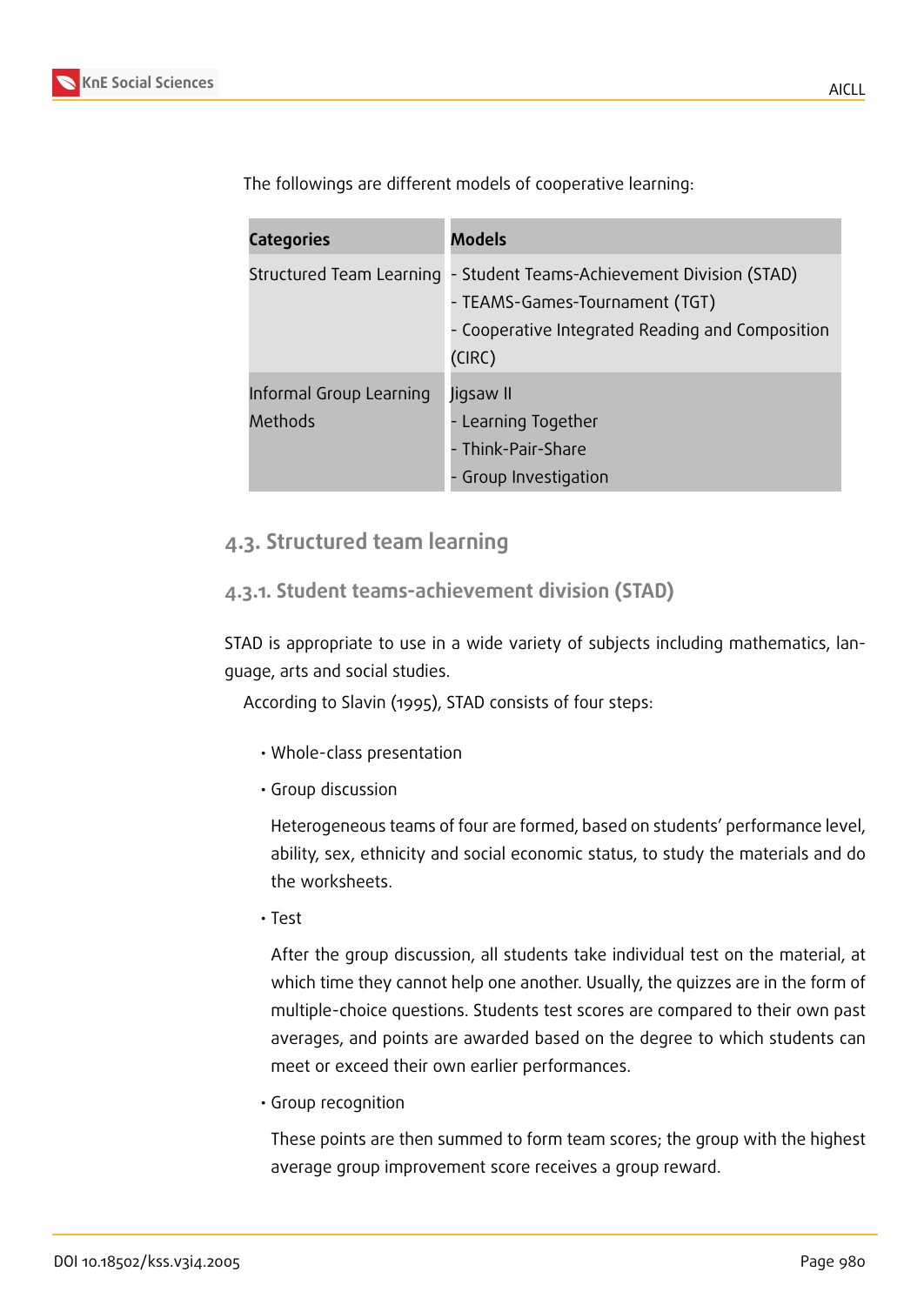

The followings are different models of cooperative learning:

| <b>Categories</b>                  | <b>Models</b>                                                                                                                                                        |
|------------------------------------|----------------------------------------------------------------------------------------------------------------------------------------------------------------------|
|                                    | Structured Team Learning - Student Teams-Achievement Division (STAD)<br>- TEAMS-Games-Tournament (TGT)<br>- Cooperative Integrated Reading and Composition<br>(CIRC) |
| Informal Group Learning<br>Methods | Jigsaw II<br>- Learning Together<br>- Think-Pair-Share<br>- Group Investigation                                                                                      |

### **4.3. Structured team learning**

#### **4.3.1. Student teams-achievement division (STAD)**

STAD is appropriate to use in a wide variety of subjects including mathematics, language, arts and social studies.

According to Slavin (1995), STAD consists of four steps:

- Whole-class presentation
- Group discussion

Heterogeneous teams of four are formed, based on students' performance level, ability, sex, ethnicity and social economic status, to study the materials and do the worksheets.

• Test

After the group discussion, all students take individual test on the material, at which time they cannot help one another. Usually, the quizzes are in the form of multiple-choice questions. Students test scores are compared to their own past averages, and points are awarded based on the degree to which students can meet or exceed their own earlier performances.

• Group recognition

These points are then summed to form team scores; the group with the highest average group improvement score receives a group reward.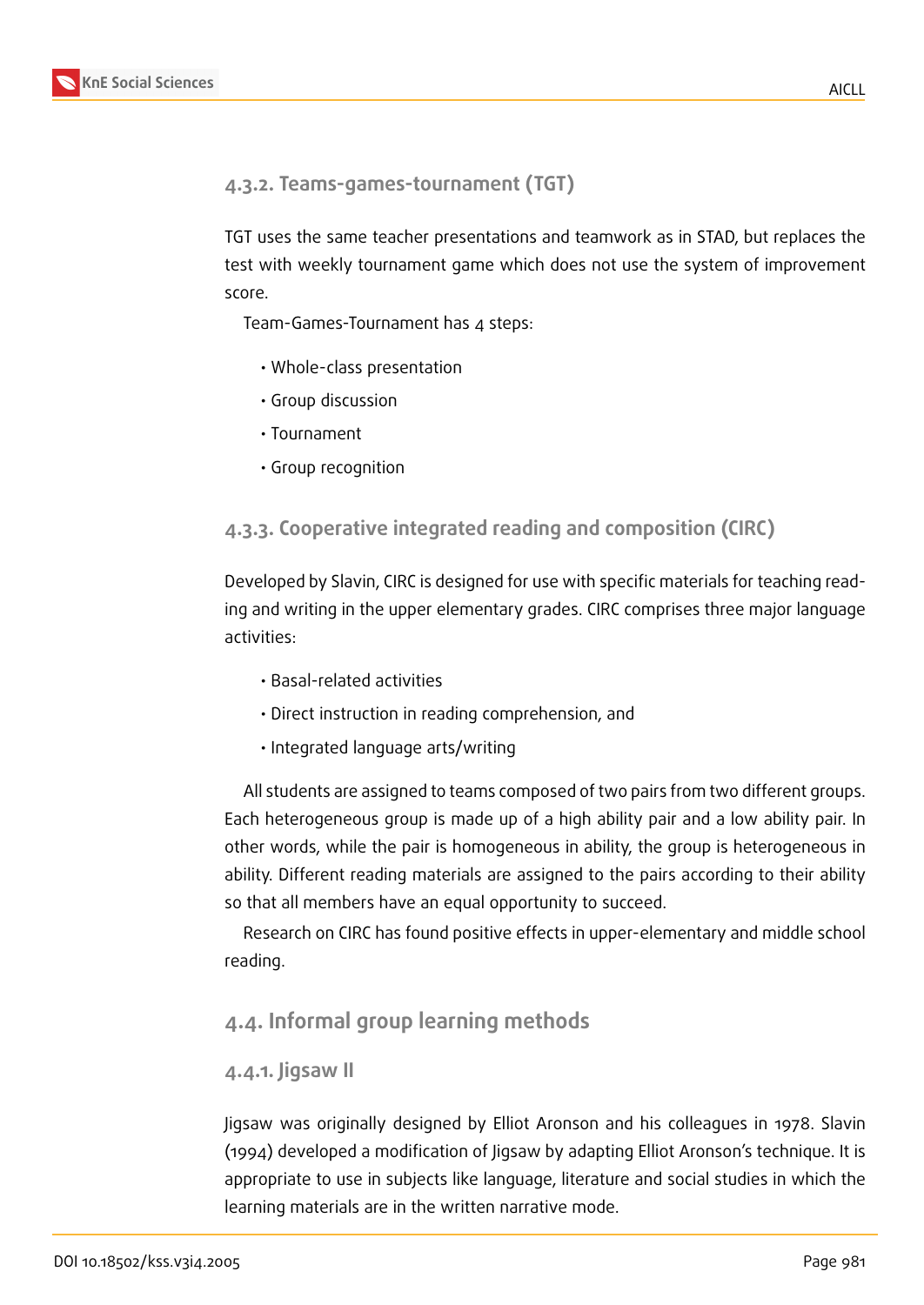#### **4.3.2. Teams-games-tournament (TGT)**

TGT uses the same teacher presentations and teamwork as in STAD, but replaces the test with weekly tournament game which does not use the system of improvement score.

Team-Games-Tournament has 4 steps:

- Whole-class presentation
- Group discussion
- Tournament
- Group recognition

#### **4.3.3. Cooperative integrated reading and composition (CIRC)**

Developed by Slavin, CIRC is designed for use with specific materials for teaching reading and writing in the upper elementary grades. CIRC comprises three major language activities:

- Basal-related activities
- Direct instruction in reading comprehension, and
- Integrated language arts/writing

All students are assigned to teams composed of two pairs from two different groups. Each heterogeneous group is made up of a high ability pair and a low ability pair. In other words, while the pair is homogeneous in ability, the group is heterogeneous in ability. Different reading materials are assigned to the pairs according to their ability so that all members have an equal opportunity to succeed.

Research on CIRC has found positive effects in upper-elementary and middle school reading.

#### **4.4. Informal group learning methods**

#### **4.4.1. Jigsaw II**

Jigsaw was originally designed by Elliot Aronson and his colleagues in 1978. Slavin (1994) developed a modification of Jigsaw by adapting Elliot Aronson's technique. It is appropriate to use in subjects like language, literature and social studies in which the learning materials are in the written narrative mode.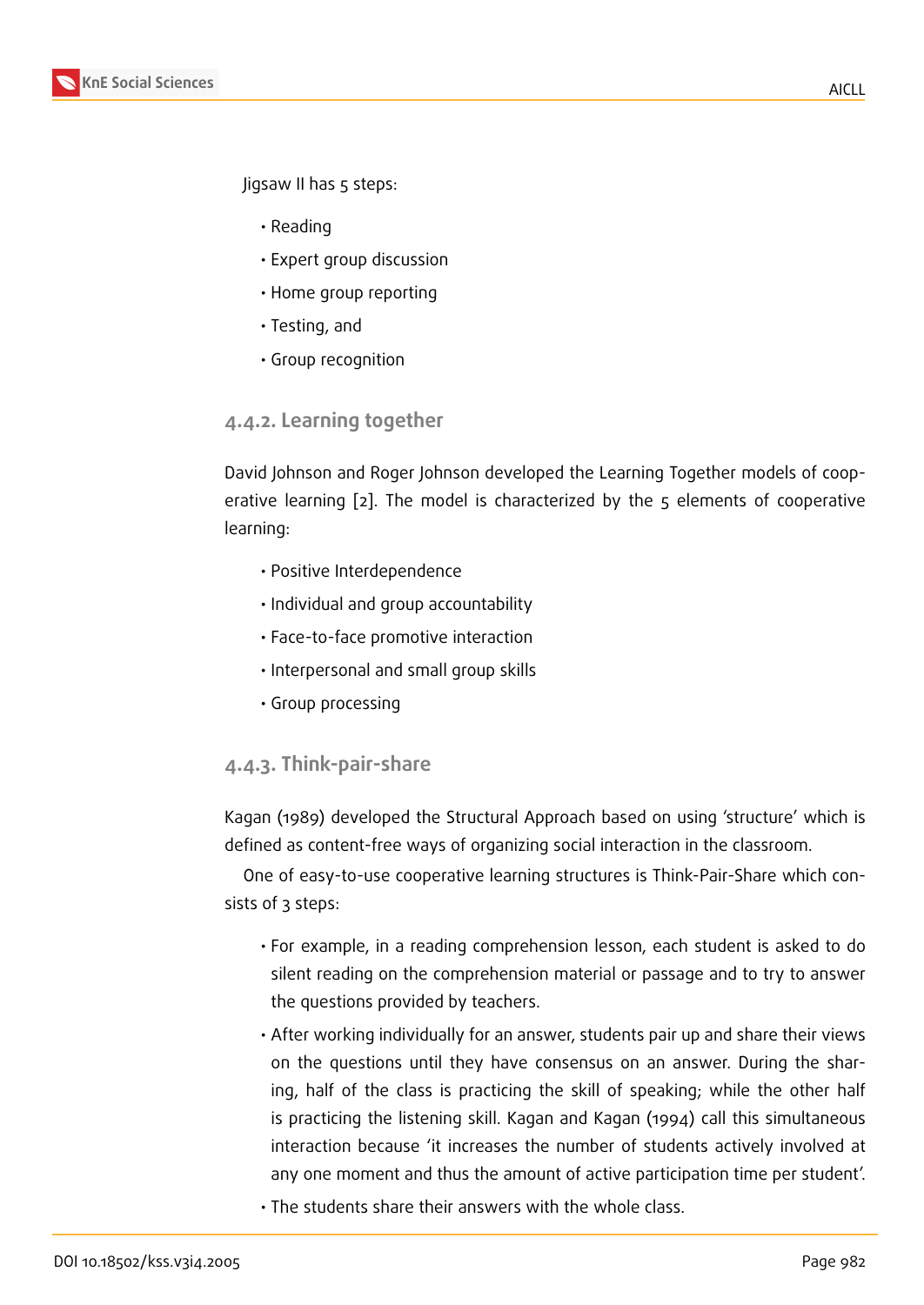Jigsaw II has 5 steps:

- Reading
- Expert group discussion
- Home group reporting
- Testing, and
- Group recognition

#### **4.4.2. Learning together**

David Johnson and Roger Johnson developed the Learning Together models of cooperative learning [2]. The model is characterized by the 5 elements of cooperative learning:

- Positive Int[er](#page-9-0)dependence
- Individual and group accountability
- Face-to-face promotive interaction
- Interpersonal and small group skills
- Group processing

#### **4.4.3. Think-pair-share**

Kagan (1989) developed the Structural Approach based on using 'structure' which is defined as content-free ways of organizing social interaction in the classroom.

One of easy-to-use cooperative learning structures is Think-Pair-Share which consists of 3 steps:

- For example, in a reading comprehension lesson, each student is asked to do silent reading on the comprehension material or passage and to try to answer the questions provided by teachers.
- After working individually for an answer, students pair up and share their views on the questions until they have consensus on an answer. During the sharing, half of the class is practicing the skill of speaking; while the other half is practicing the listening skill. Kagan and Kagan (1994) call this simultaneous interaction because 'it increases the number of students actively involved at any one moment and thus the amount of active participation time per student'.
- The students share their answers with the whole class.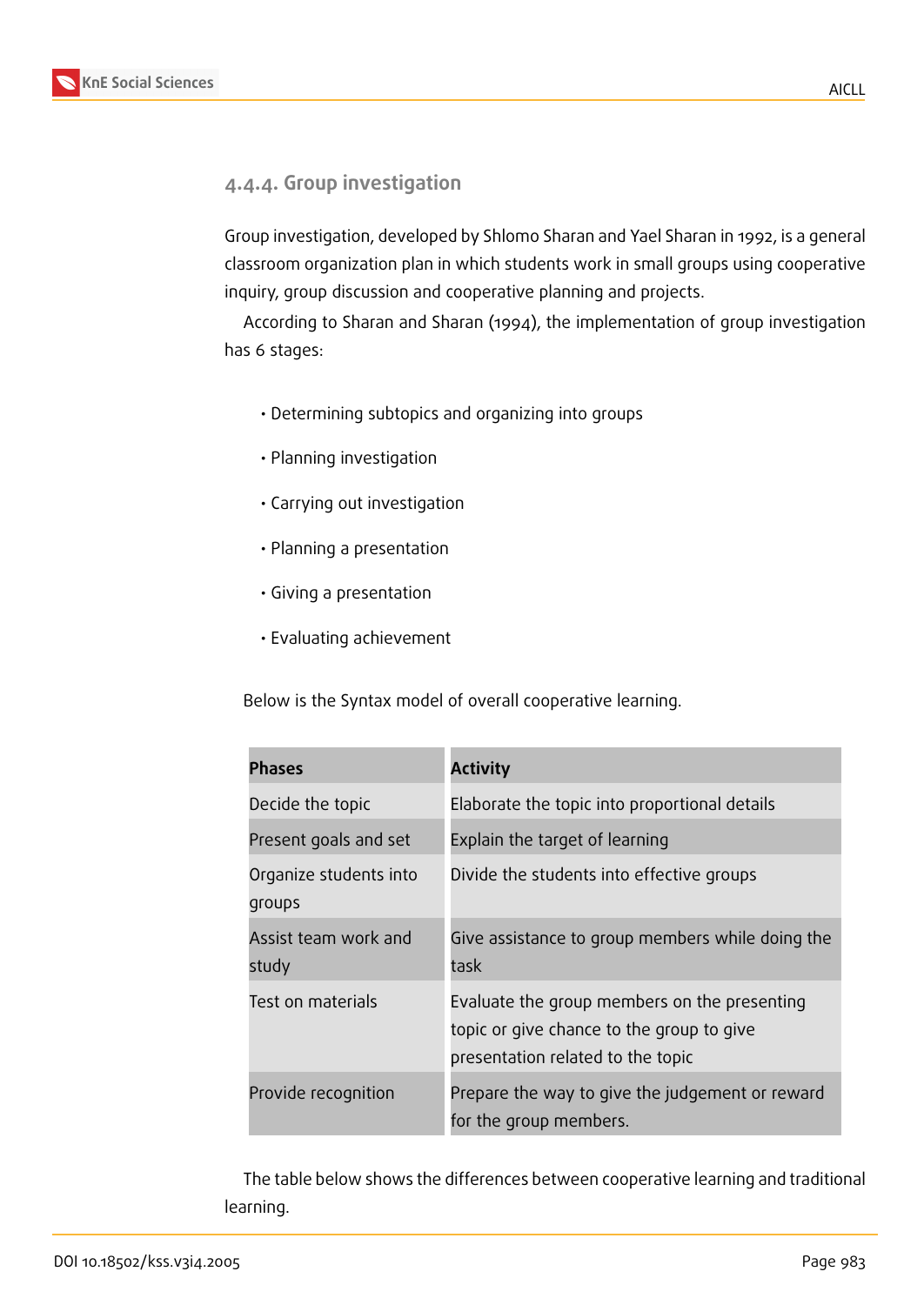



#### **4.4.4. Group investigation**

Group investigation, developed by Shlomo Sharan and Yael Sharan in 1992, is a general classroom organization plan in which students work in small groups using cooperative inquiry, group discussion and cooperative planning and projects.

According to Sharan and Sharan (1994), the implementation of group investigation has 6 stages:

- Determining subtopics and organizing into groups
- Planning investigation
- Carrying out investigation
- Planning a presentation
- Giving a presentation
- Evaluating achievement

Below is the Syntax model of overall cooperative learning.

| <b>Phases</b>                    | <b>Activity</b>                                                                                                                |
|----------------------------------|--------------------------------------------------------------------------------------------------------------------------------|
| Decide the topic                 | Elaborate the topic into proportional details                                                                                  |
| Present goals and set            | Explain the target of learning                                                                                                 |
| Organize students into<br>groups | Divide the students into effective groups                                                                                      |
| Assist team work and<br>study    | Give assistance to group members while doing the<br>task                                                                       |
| Test on materials                | Evaluate the group members on the presenting<br>topic or give chance to the group to give<br>presentation related to the topic |
| Provide recognition              | Prepare the way to give the judgement or reward<br>for the group members.                                                      |

The table below shows the differences between cooperative learning and traditional learning.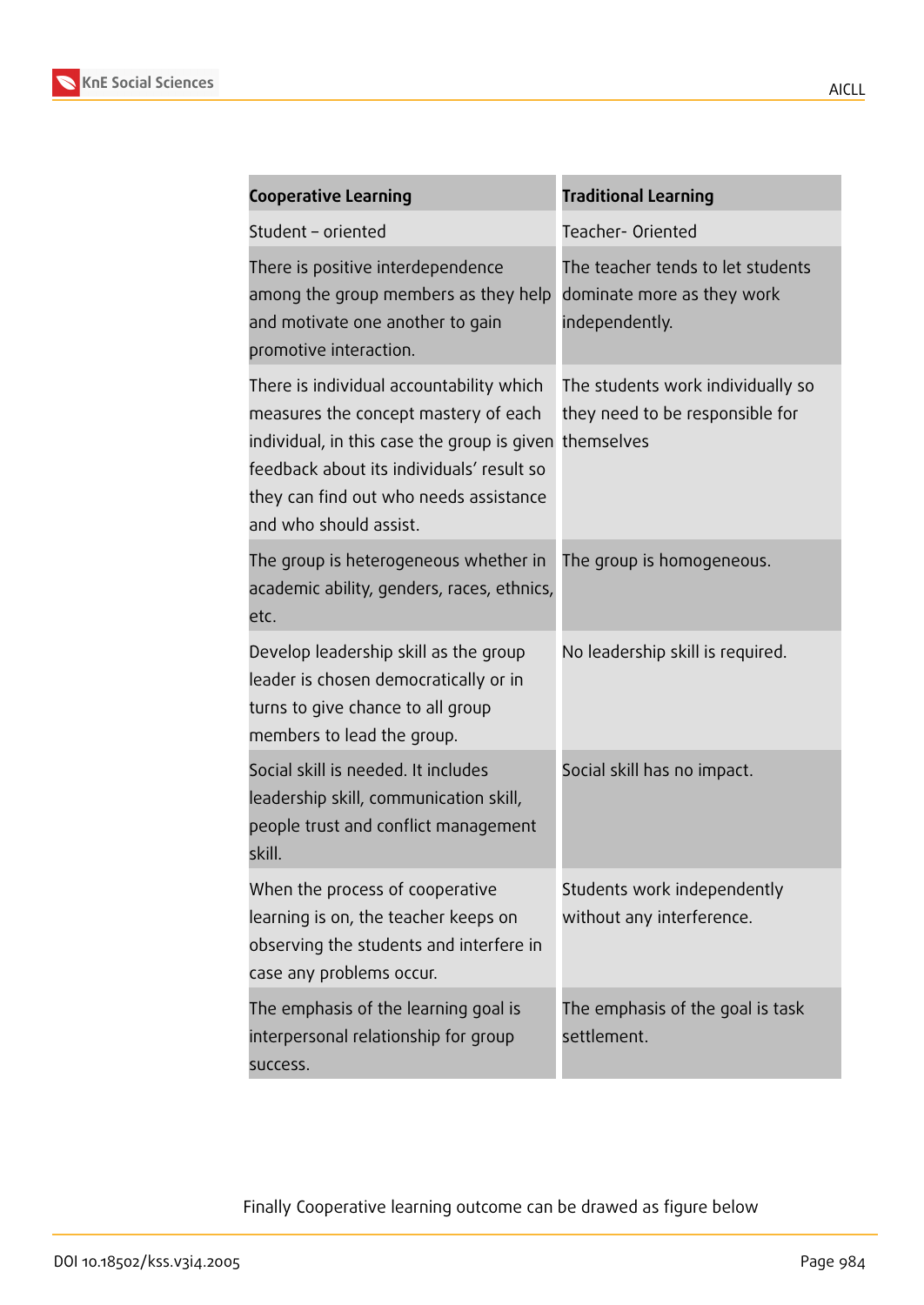

| <b>Cooperative Learning</b>                                                                                                                                                                                                                                 | <b>Traditional Learning</b>                                                       |  |
|-------------------------------------------------------------------------------------------------------------------------------------------------------------------------------------------------------------------------------------------------------------|-----------------------------------------------------------------------------------|--|
| Student - oriented                                                                                                                                                                                                                                          | Teacher-Oriented                                                                  |  |
| There is positive interdependence<br>among the group members as they help<br>and motivate one another to gain<br>promotive interaction.                                                                                                                     | The teacher tends to let students<br>dominate more as they work<br>independently. |  |
| There is individual accountability which<br>measures the concept mastery of each<br>individual, in this case the group is given themselves<br>feedback about its individuals' result so<br>they can find out who needs assistance<br>and who should assist. | The students work individually so<br>they need to be responsible for              |  |
| The group is heterogeneous whether in<br>academic ability, genders, races, ethnics,<br>etc.                                                                                                                                                                 | The group is homogeneous.                                                         |  |
| Develop leadership skill as the group<br>leader is chosen democratically or in<br>turns to give chance to all group<br>members to lead the group.                                                                                                           | No leadership skill is required.                                                  |  |
| Social skill is needed. It includes<br>leadership skill, communication skill,<br>people trust and conflict management<br>skill.                                                                                                                             | Social skill has no impact.                                                       |  |
| When the process of cooperative<br>learning is on, the teacher keeps on<br>observing the students and interfere in<br>case any problems occur.                                                                                                              | Students work independently<br>without any interference.                          |  |
| The emphasis of the learning goal is<br>interpersonal relationship for group<br>success.                                                                                                                                                                    | The emphasis of the goal is task<br>settlement.                                   |  |

Finally Cooperative learning outcome can be drawed as figure below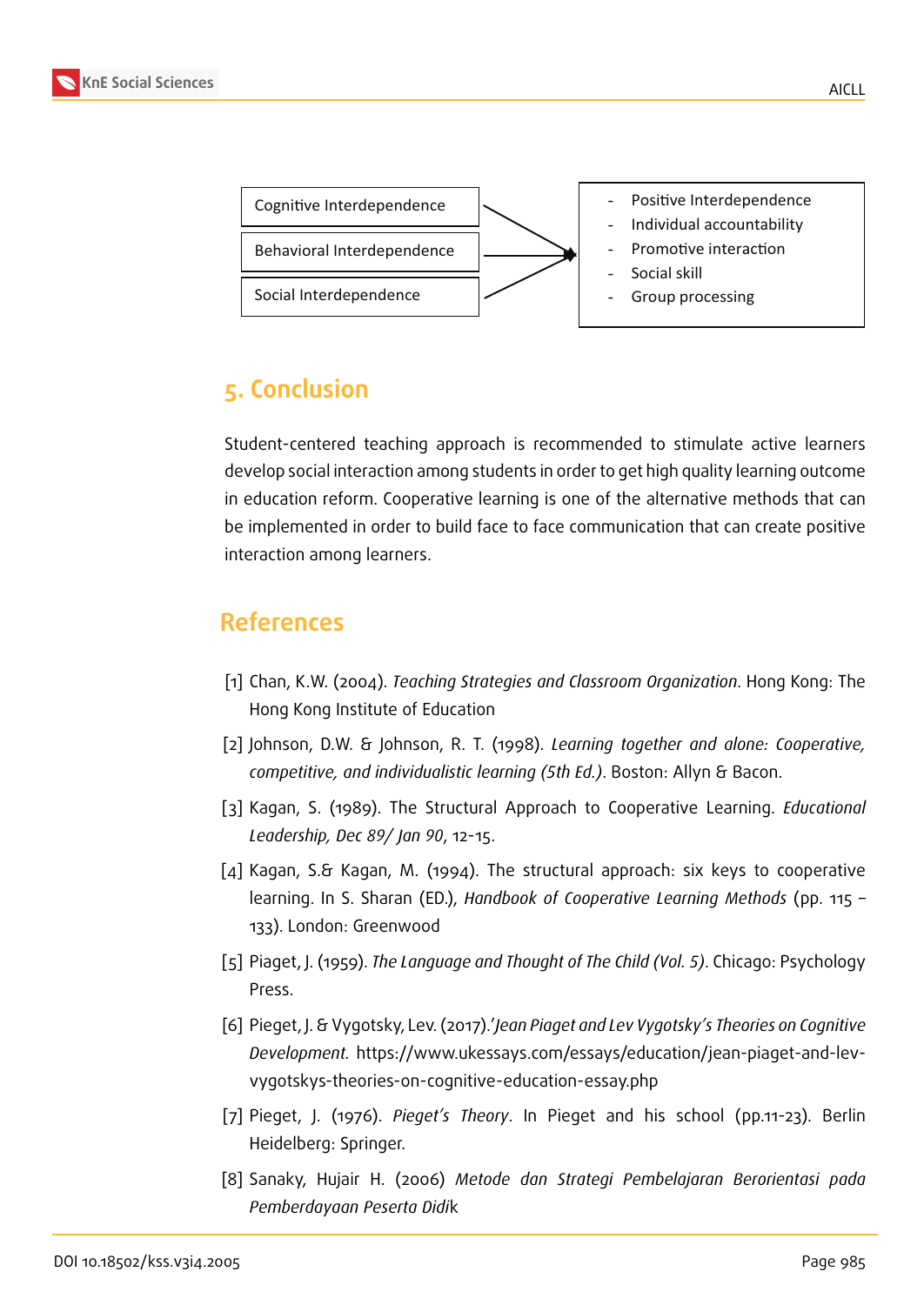

## **5. Conclusion**

Student-centered teaching approach is recommended to stimulate active learners develop social interaction among students in order to get high quality learning outcome in education reform. Cooperative learning is one of the alternative methods that can be implemented in order to build face to face communication that can create positive interaction among learners.

### **References**

- [1] Chan, K.W. (2004). *Teaching Strategies and Classroom Organization*. Hong Kong: The Hong Kong Institute of Education
- <span id="page-9-0"></span>[2] Johnson, D.W. & Johnson, R. T. (1998). *Learning together and alone: Cooperative, competitive, and individualistic learning (5th Ed.)*. Boston: Allyn & Bacon.
- [3] Kagan, S. (1989). The Structural Approach to Cooperative Learning. *Educational Leadership, Dec 89/ Jan 90*, 12-15.
- [4] Kagan, S.& Kagan, M. (1994). The structural approach: six keys to cooperative learning. In S. Sharan (ED.), *Handbook of Cooperative Learning Methods* (pp. 115 – 133). London: Greenwood
- [5] Piaget, J. (1959). *The Language and Thought of The Child (Vol. 5)*. Chicago: Psychology Press.
- [6] Pieget, J. & Vygotsky, Lev. (2017).'*Jean Piaget and Lev Vygotsky's Theories on Cognitive Development.* https://www.ukessays.com/essays/education/jean-piaget-and-levvygotskys-theories-on-cognitive-education-essay.php
- [7] Pieget, J. (1976). *Pieget's Theory*. In Pieget and his school (pp.11-23). Berlin Heidelberg: Springer.
- [8] Sanaky, Hujair H. (2006) *Metode dan Strategi Pembelajaran Berorientasi pada Pemberdayaan Peserta Didi*k